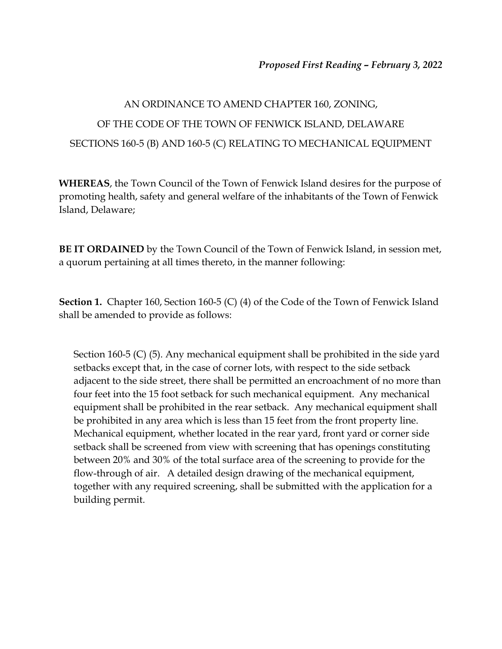## AN ORDINANCE TO AMEND CHAPTER 160, ZONING, OF THE CODE OF THE TOWN OF FENWICK ISLAND, DELAWARE SECTIONS 160-5 (B) AND 160-5 (C) RELATING TO MECHANICAL EQUIPMENT

**WHEREAS**, the Town Council of the Town of Fenwick Island desires for the purpose of promoting health, safety and general welfare of the inhabitants of the Town of Fenwick Island, Delaware;

**BE IT ORDAINED** by the Town Council of the Town of Fenwick Island, in session met, a quorum pertaining at all times thereto, in the manner following:

**Section 1.** Chapter 160, Section 160-5 (C) (4) of the Code of the Town of Fenwick Island shall be amended to provide as follows:

Section 160-5 (C) (5). Any mechanical equipment shall be prohibited in the side yard setbacks except that, in the case of corner lots, with respect to the side setback adjacent to the side street, there shall be permitted an encroachment of no more than four feet into the 15 foot setback for such mechanical equipment. Any mechanical equipment shall be prohibited in the rear setback. Any mechanical equipment shall be prohibited in any area which is less than 15 feet from the front property line. Mechanical equipment, whether located in the rear yard, front yard or corner side setback shall be screened from view with screening that has openings constituting between 20% and 30% of the total surface area of the screening to provide for the flow-through of air. A detailed design drawing of the mechanical equipment, together with any required screening, shall be submitted with the application for a building permit.